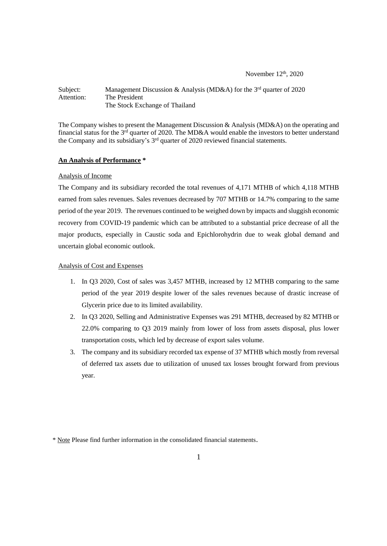November  $12<sup>th</sup>$ , 2020

#### Subject: Management Discussion & Analysis (MD&A) for the 3<sup>rd</sup> quarter of 2020 Attention: The President The Stock Exchange of Thailand

The Company wishes to present the Management Discussion & Analysis (MD&A) on the operating and financial status for the  $3<sup>rd</sup>$  quarter of 2020. The MD&A would enable the investors to better understand the Company and its subsidiary's 3<sup>rd</sup> quarter of 2020 reviewed financial statements.

## **An Analysis of Performance \***

#### Analysis of Income

The Company and its subsidiary recorded the total revenues of 4,171 MTHB of which 4,118 MTHB earned from sales revenues. Sales revenues decreased by 707 MTHB or 14.7% comparing to the same period of the year 2019. The revenues continued to be weighed down by impacts and sluggish economic recovery from COVID-19 pandemic which can be attributed to a substantial price decrease of all the major products, especially in Caustic soda and Epichlorohydrin due to weak global demand and uncertain global economic outlook.

### Analysis of Cost and Expenses

- 1. In Q3 2020, Cost of sales was 3,457 MTHB, increased by 12 MTHB comparing to the same period of the year 2019 despite lower of the sales revenues because of drastic increase of Glycerin price due to its limited availability.
- 2. In Q3 2020, Selling and Administrative Expenses was 291 MTHB, decreased by 82 MTHB or 22.0% comparing to Q3 2019 mainly from lower of loss from assets disposal, plus lower transportation costs, which led by decrease of export sales volume.
- 3. The company and its subsidiary recorded tax expense of 37 MTHB which mostly from reversal of deferred tax assets due to utilization of unused tax losses brought forward from previous year.

<sup>\*</sup> Note Please find further information in the consolidated financial statements.